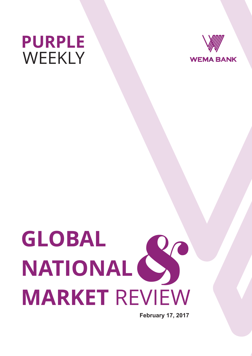



# **GLOBAL NATIONAL MARKET** REVIEW  $\sum_{n=1}^{\infty}$

**February 17, 2017**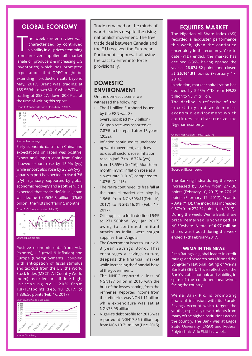## **GLOBAL ECONOMY**

he week under review was<br>characterized by continued volatility in oil prices stemming from an over supplied oil market (shale oil producers & increasing U.S inventories) which has prompted expectations that OPEC might be extending production cuts beyond May, 2017. Brent was trading at \$55.55/bbl. down \$0.10 while WTI was trading at \$53.27, down \$0.09 as at the time of writing this report.

#### Chart 1: Brent crude price (Jan – Feb 17, 2017)



#### Source: Bloomberg

Early economic data from China and expectations on Japan was positive. Export and import data from China showed export rose by 15.9% (y/y) while import also rose by 25.2% (y/y). Japan's export is expected to rise 4.7% (y/y) in January, supported by global economic recovery and a soft Yen. It is expected that trade deficit in Japan will decline to ¥636.8 billion (\$5.62 billion), the first shortfall in 5 months.



Positive economic data from Asia (exports), U.S (retail & inflation) and Europe (unemployment) coupled with anticipation of fiscal stimulus and tax cuts from the U.S, the World Stock Index (MSCI's All Country World Index) recorded an all-time high, increasing by 1.20% from 1,871.71points (Feb. 10, 2017) to 1,836.56 points (Feb. 16, 2017)



Trade remained on the minds of world leaders despite the rising nationalist movement. The free trade deal between Canada and the E.U received the European Parliament's approval, allowing the pact to enter into force provisionally.

# **DOMESTIC ENVIRONMENT**

On the domestic scene, we witnessed the following;

- The \$1 billion Eurobond issued by the FGN was 8x oversubscribed (\$7.8 billion). Coupon rate was reported at 7.87% to be repaid after 15 years (2032).
- Inflation continued its unabated upward movement, as prices across all sectors rose. Inflation rose in Jan'17 to 18.72% (y/y) from 18.55% (Dec'16). Month-on month (m/m) inflation rose at a slower rate (1.01%) compared to 1.07% (Dec'15).
- The Naira continued its free fall at the parallel market declining by 1.96% from NGN506/\$1(Feb. 10, 2017) to NGN516/\$1 (Feb. 17, 2017).
- Oil supplies to India declined 54% to 271,500bpd (y/y; Jan 2017) owing to continued militant attacks, as India were sought supplies from Angola.
- The Government is set to issue a 2-3 year Savings Bond. This encourages a savings culture, deepens the financial market while increasing the financial base of the government.
- The NNPC reported a loss of NGN197 billion in 2016 with the bulk of the losses coming from the refineries. Reported income from the refineries was NGN1.11 billion while expenditure was set at NGN78.95 billion.
- Nigeria's debt profile for 2016 was reported at NGN17.36 trillion, up from NGN10.71 trillion (Dec. 2015)

## **EQUITIES MARKET**

The Nigerian All-Share Index (ASI) recorded a lackluster performance this week, given the continued uncertainty in the economy. Year to date (YTD) ended, the market has declined 6.36% having opened the year at **26,874.62** points and closed a**t 25,164.91** points (February 17, 2016).

In addition, market capitalization has declined by 5.63% YTD from N9.23 trillion to N8.71 trillion.

The decline is reflective of the uncertainty and weak macroeconomic environment which continues to characterize the Nigerian economy.



Source: Bloomberg

The Banking Index during the week increased by 0.44% from 277.38 points (February 10, 2017) to 276.15 points (February 17, 2017). Year–to –Date (YTD), the index has increased 0.67% from 274.32 points (Jan, 2017). During the week, Wema Bank share price remained unchanged at N0.50/share. A total of **0.97 million** shares was traded during the week ended 17th February 2017.

#### **WEMA IN THE NEWS**

Fitch Ratings, a global leader in credit ratings and research has affirmed the Long-term National Rating of Wema Bank at (BBB-). This is reflective of the Bank's stable outlook and viability, in spite of the continued headwinds facing the country.

Wema Bank Plc. is promoting financial inclusion with its Purple Savings Account which targets the youths, especially new students from many of the higher institutions across the country. The Bank was at Lagos State University (LASU) and Federal Polytechnic, Ado Ekiti last week.